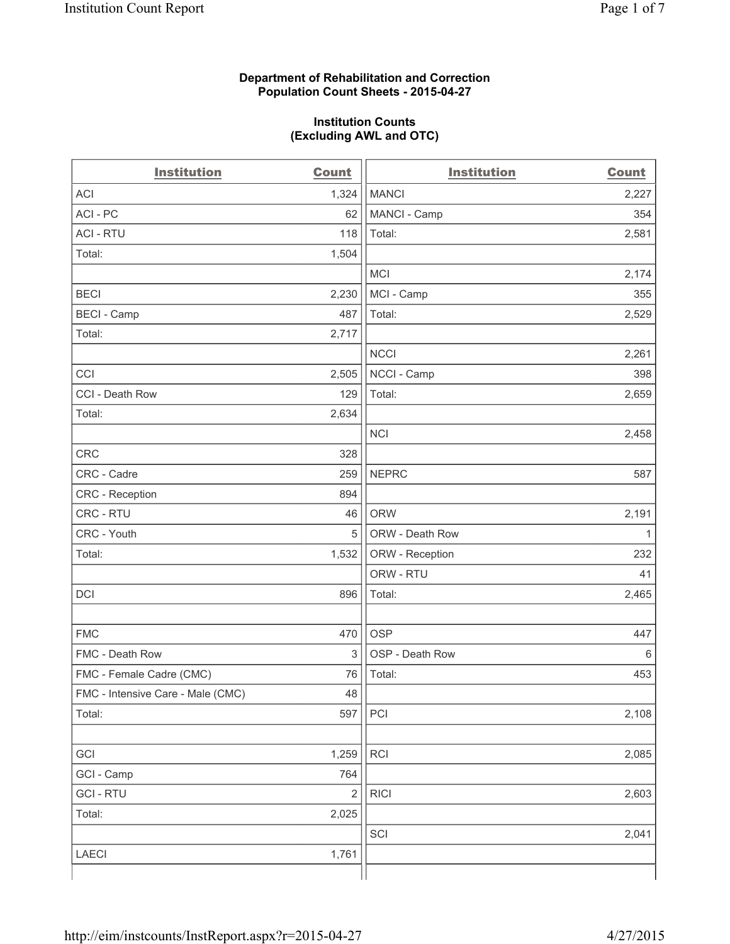## **Department of Rehabilitation and Correction Population Count Sheets - 2015-04-27**

### **Institution Counts (Excluding AWL and OTC)**

| <b>Institution</b>                | <b>Count</b>   | <b>Institution</b> | <b>Count</b> |
|-----------------------------------|----------------|--------------------|--------------|
| <b>ACI</b>                        | 1,324          | <b>MANCI</b>       | 2,227        |
| ACI-PC                            | 62             | MANCI - Camp       | 354          |
| <b>ACI - RTU</b>                  | 118            | Total:             | 2,581        |
| Total:                            | 1,504          |                    |              |
|                                   |                | <b>MCI</b>         | 2,174        |
| <b>BECI</b>                       | 2,230          | MCI - Camp         | 355          |
| <b>BECI - Camp</b>                | 487            | Total:             | 2,529        |
| Total:                            | 2,717          |                    |              |
|                                   |                | <b>NCCI</b>        | 2,261        |
| CCI                               | 2,505          | NCCI - Camp        | 398          |
| CCI - Death Row                   | 129            | Total:             | 2,659        |
| Total:                            | 2,634          |                    |              |
|                                   |                | <b>NCI</b>         | 2,458        |
| <b>CRC</b>                        | 328            |                    |              |
| CRC - Cadre                       | 259            | <b>NEPRC</b>       | 587          |
| CRC - Reception                   | 894            |                    |              |
| CRC - RTU                         | 46             | <b>ORW</b>         | 2,191        |
| CRC - Youth                       | 5              | ORW - Death Row    | $\mathbf{1}$ |
| Total:                            | 1,532          | ORW - Reception    | 232          |
|                                   |                | ORW - RTU          | 41           |
| DCI                               | 896            | Total:             | 2,465        |
|                                   |                |                    |              |
| <b>FMC</b>                        | 470            | <b>OSP</b>         | 447          |
| FMC - Death Row                   | 3              | OSP - Death Row    | 6            |
| FMC - Female Cadre (CMC)          | 76             | Total:             | 453          |
| FMC - Intensive Care - Male (CMC) | 48             |                    |              |
| Total:                            | 597            | PCI                | 2,108        |
|                                   |                |                    |              |
| GCI                               | 1,259          | RCI                | 2,085        |
| GCI - Camp                        | 764            |                    |              |
| <b>GCI - RTU</b>                  | $\overline{2}$ | <b>RICI</b>        | 2,603        |
| Total:                            | 2,025          |                    |              |
|                                   |                | SCI                | 2,041        |
| <b>LAECI</b>                      | 1,761          |                    |              |
|                                   |                |                    |              |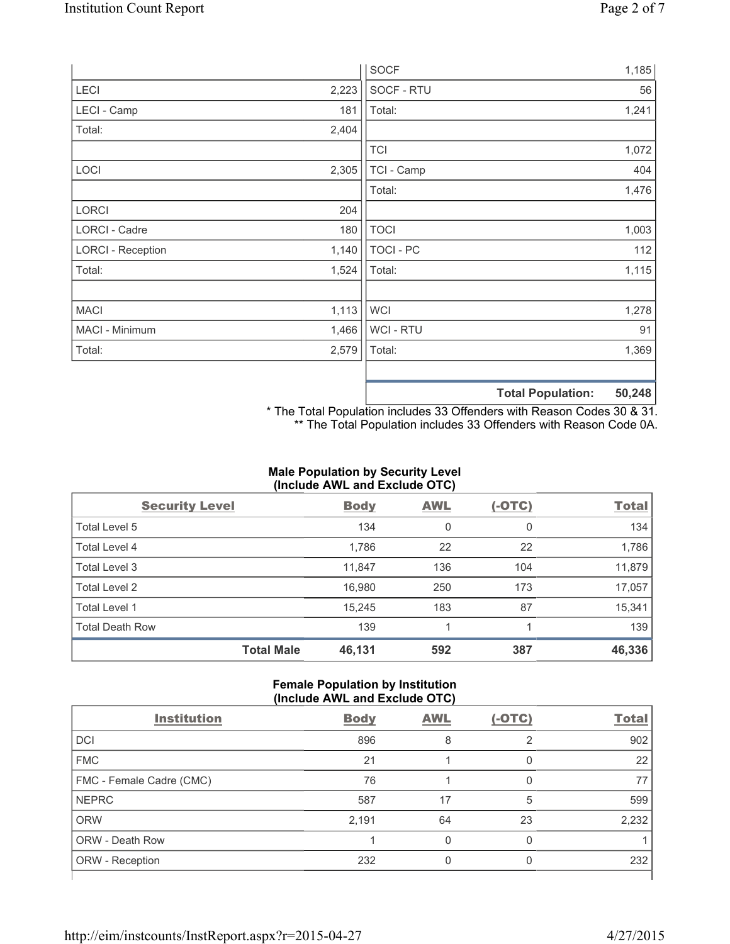|                          |       | <b>SOCF</b> | 1,185                              |
|--------------------------|-------|-------------|------------------------------------|
| LECI                     | 2,223 | SOCF - RTU  | 56                                 |
| LECI - Camp              | 181   | Total:      | 1,241                              |
| Total:                   | 2,404 |             |                                    |
|                          |       | <b>TCI</b>  | 1,072                              |
| LOCI                     | 2,305 | TCI - Camp  | 404                                |
|                          |       | Total:      | 1,476                              |
| <b>LORCI</b>             | 204   |             |                                    |
| LORCI - Cadre            | 180   | <b>TOCI</b> | 1,003                              |
| <b>LORCI - Reception</b> | 1,140 | TOCI - PC   | 112                                |
| Total:                   | 1,524 | Total:      | 1,115                              |
|                          |       |             |                                    |
| <b>MACI</b>              | 1,113 | <b>WCI</b>  | 1,278                              |
| MACI - Minimum           | 1,466 | WCI - RTU   | 91                                 |
| Total:                   | 2,579 | Total:      | 1,369                              |
|                          |       |             |                                    |
|                          |       |             | <b>EN 249</b><br>Total Dopulation: |

**Total Population: 50,248**

\* The Total Population includes 33 Offenders with Reason Codes 30 & 31. \*\* The Total Population includes 33 Offenders with Reason Code 0A.

# **Male Population by Security Level (Include AWL and Exclude OTC)**

| <b>Security Level</b>  |                   | <b>Body</b> | <b>AWL</b> | $(-OTC)$ | <b>Total</b> |
|------------------------|-------------------|-------------|------------|----------|--------------|
| Total Level 5          |                   | 134         | 0          | 0        | 134          |
| Total Level 4          |                   | 1,786       | 22         | 22       | 1,786        |
| Total Level 3          |                   | 11,847      | 136        | 104      | 11,879       |
| Total Level 2          |                   | 16,980      | 250        | 173      | 17,057       |
| Total Level 1          |                   | 15,245      | 183        | 87       | 15,341       |
| <b>Total Death Row</b> |                   | 139         |            |          | 139          |
|                        | <b>Total Male</b> | 46,131      | 592        | 387      | 46,336       |

### **Female Population by Institution (Include AWL and Exclude OTC)**

| <b>Institution</b>       | <b>Body</b> | <b>AWL</b> | $(-OTC)$ | <b>Total</b> |
|--------------------------|-------------|------------|----------|--------------|
| <b>DCI</b>               | 896         | 8          | 2        | 902          |
| <b>FMC</b>               | 21          |            | 0        | 22           |
| FMC - Female Cadre (CMC) | 76          |            | 0        | 77           |
| <b>NEPRC</b>             | 587         | 17         | 5        | 599          |
| <b>ORW</b>               | 2,191       | 64         | 23       | 2,232        |
| <b>ORW - Death Row</b>   |             |            | $\Omega$ |              |
| ORW - Reception          | 232         |            | 0        | 232          |
|                          |             |            |          |              |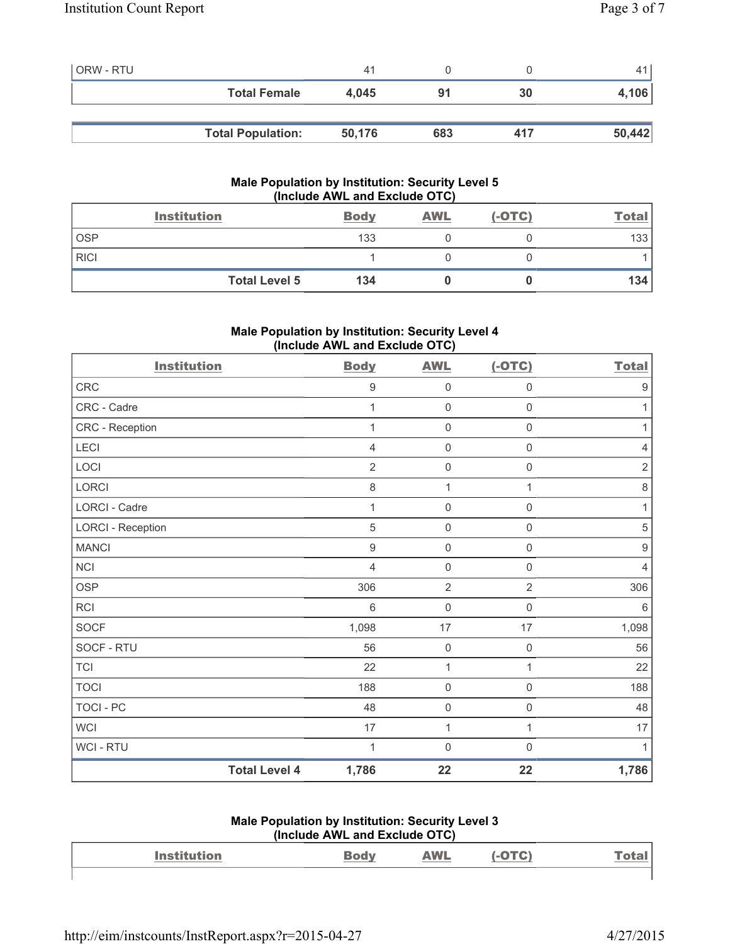| <b>ORW - RTU</b> |                          | 41     |     |     |        |
|------------------|--------------------------|--------|-----|-----|--------|
|                  | <b>Total Female</b>      | 4.045  |     | 30  | 4,106  |
|                  |                          |        |     |     |        |
|                  | <b>Total Population:</b> | 50,176 | 683 | 417 | 50,442 |

# **Male Population by Institution: Security Level 5 (Include AWL and Exclude OTC)**

|             | <b>Institution</b>   | <b>Body</b> | <b>AWL</b> | $(-OTC)$ | <b>Total</b>     |
|-------------|----------------------|-------------|------------|----------|------------------|
| <b>OSP</b>  |                      | 133         |            |          | 133 <sub>1</sub> |
| <b>RICI</b> |                      |             |            |          |                  |
|             | <b>Total Level 5</b> | 134         |            |          | 134              |

# **Male Population by Institution: Security Level 4 (Include AWL and Exclude OTC)**

| <b>Institution</b>       |                      | <b>Body</b>      | <b>AWL</b>          | $(-OTC)$            | <b>Total</b>     |
|--------------------------|----------------------|------------------|---------------------|---------------------|------------------|
| CRC                      |                      | $\boldsymbol{9}$ | $\mathsf{O}\xspace$ | $\mathsf{O}\xspace$ | $\boldsymbol{9}$ |
| CRC - Cadre              |                      | 1                | $\mathbf 0$         | 0                   | 1                |
| CRC - Reception          |                      | 1                | $\mathbf 0$         | $\mathsf{O}\xspace$ | 1                |
| LECI                     |                      | $\overline{4}$   | $\mathsf{O}\xspace$ | $\mathsf 0$         | 4                |
| LOCI                     |                      | $\overline{2}$   | $\mathsf{O}\xspace$ | $\mathsf 0$         | $\overline{2}$   |
| LORCI                    |                      | 8                | $\mathbf{1}$        | 1                   | 8                |
| <b>LORCI - Cadre</b>     |                      | 1                | $\mathbf 0$         | $\mathsf 0$         | $\mathbf{1}$     |
| <b>LORCI - Reception</b> |                      | $\sqrt{5}$       | $\mathsf{O}\xspace$ | $\mathsf 0$         | $\sqrt{5}$       |
| <b>MANCI</b>             |                      | $\boldsymbol{9}$ | $\mathbf 0$         | $\mathsf{O}\xspace$ | $\boldsymbol{9}$ |
| <b>NCI</b>               |                      | $\overline{4}$   | $\mathbf 0$         | 0                   | $\overline{4}$   |
| <b>OSP</b>               |                      | 306              | $\overline{2}$      | $\overline{2}$      | 306              |
| <b>RCI</b>               |                      | $6\phantom{1}6$  | $\mathbf 0$         | 0                   | 6                |
| SOCF                     |                      | 1,098            | $17\,$              | 17                  | 1,098            |
| SOCF - RTU               |                      | 56               | $\mathsf{O}\xspace$ | $\mathbf 0$         | 56               |
| <b>TCI</b>               |                      | 22               | $\mathbf{1}$        | 1                   | 22               |
| <b>TOCI</b>              |                      | 188              | $\mathsf{O}\xspace$ | $\mathsf 0$         | 188              |
| <b>TOCI - PC</b>         |                      | 48               | $\mathsf{O}\xspace$ | $\mathsf{O}\xspace$ | 48               |
| <b>WCI</b>               |                      | 17               | $\mathbf{1}$        | 1                   | 17               |
| WCI - RTU                |                      | 1                | $\mathbf 0$         | $\mathbf{0}$        | 1                |
|                          | <b>Total Level 4</b> | 1,786            | 22                  | 22                  | 1,786            |

#### **Male Population by Institution: Security Level 3 (Include AWL and Exclude OTC)**

| <b>Institution</b> | WL |  |
|--------------------|----|--|
|                    |    |  |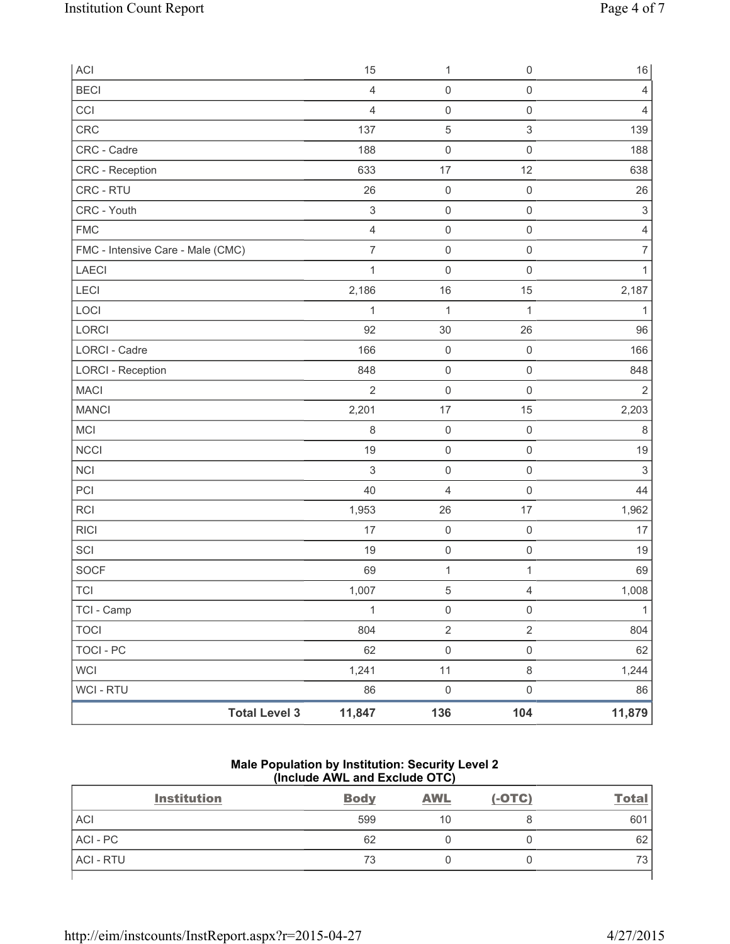| ACI                               | 15                        | $\mathbf{1}$        | $\mathsf 0$               | $16\,$                    |
|-----------------------------------|---------------------------|---------------------|---------------------------|---------------------------|
| <b>BECI</b>                       | $\overline{4}$            | 0                   | $\mathsf{O}\xspace$       | $\overline{4}$            |
| CCI                               | $\overline{4}$            | 0                   | $\mathsf 0$               | $\overline{4}$            |
| CRC                               | 137                       | 5                   | $\ensuremath{\mathsf{3}}$ | 139                       |
| CRC - Cadre                       | 188                       | $\mathsf{O}\xspace$ | $\mathsf 0$               | 188                       |
| CRC - Reception                   | 633                       | 17                  | 12                        | 638                       |
| CRC - RTU                         | 26                        | $\mathsf 0$         | $\mathsf 0$               | 26                        |
| CRC - Youth                       | $\ensuremath{\mathsf{3}}$ | 0                   | $\mathsf 0$               | $\ensuremath{\mathsf{3}}$ |
| <b>FMC</b>                        | $\overline{4}$            | $\mathsf 0$         | $\mathsf{O}\xspace$       | 4                         |
| FMC - Intensive Care - Male (CMC) | $\boldsymbol{7}$          | $\mathsf 0$         | $\mathsf 0$               | $\overline{7}$            |
| LAECI                             | $\mathbf{1}$              | $\mathsf{O}\xspace$ | $\mathsf 0$               | 1                         |
| <b>LECI</b>                       | 2,186                     | 16                  | 15                        | 2,187                     |
| LOCI                              | $\mathbf{1}$              | 1                   | $\mathbf{1}$              | 1                         |
| LORCI                             | 92                        | $30\,$              | 26                        | 96                        |
| <b>LORCI - Cadre</b>              | 166                       | $\mathsf{O}\xspace$ | $\mathsf 0$               | 166                       |
| <b>LORCI - Reception</b>          | 848                       | $\mathsf{O}\xspace$ | $\mathsf 0$               | 848                       |
| <b>MACI</b>                       | $\overline{2}$            | $\mathsf{O}\xspace$ | $\mathsf 0$               | $\overline{2}$            |
| <b>MANCI</b>                      | 2,201                     | 17                  | 15                        | 2,203                     |
| MCI                               | 8                         | $\mathsf{O}\xspace$ | $\mathsf 0$               | 8                         |
| <b>NCCI</b>                       | 19                        | $\mathsf 0$         | $\mathsf 0$               | 19                        |
| <b>NCI</b>                        | $\ensuremath{\mathsf{3}}$ | 0                   | $\mathsf 0$               | $\ensuremath{\mathsf{3}}$ |
| PCI                               | 40                        | 4                   | $\mathsf 0$               | 44                        |
| <b>RCI</b>                        | 1,953                     | 26                  | 17                        | 1,962                     |
| <b>RICI</b>                       | 17                        | $\mathsf{O}\xspace$ | $\mathsf 0$               | 17                        |
| SCI                               | 19                        | $\mathsf{O}\xspace$ | $\mathsf 0$               | 19                        |
| <b>SOCF</b>                       | 69                        | $\mathbf 1$         | 1                         | 69                        |
| <b>TCI</b>                        | 1,007                     | $\mathbf 5$         | $\overline{4}$            | 1,008                     |
| TCI - Camp                        | $\mathbf{1}$              | $\mathsf{O}\xspace$ | $\mathsf{O}\xspace$       | $\mathbf{1}$              |
| <b>TOCI</b>                       | 804                       | $\mathbf 2$         | $\overline{2}$            | 804                       |
| <b>TOCI - PC</b>                  | 62                        | $\mathsf{O}\xspace$ | $\mathsf{O}\xspace$       | 62                        |
| WCI                               | 1,241                     | 11                  | $\,8\,$                   | 1,244                     |
| WCI - RTU                         | 86                        | $\mathsf 0$         | $\mathsf{O}\xspace$       | 86                        |
| <b>Total Level 3</b>              | 11,847                    | 136                 | 104                       | 11,879                    |

# **Male Population by Institution: Security Level 2 (Include AWL and Exclude OTC)**

| <b>Institution</b> | <b>Body</b> | <b>AWL</b> | $(-OTC)$ | <b>Total</b> |
|--------------------|-------------|------------|----------|--------------|
| <b>ACI</b>         | 599         | 10         |          | 601          |
| ACI - PC           | 62          |            |          | 62           |
| <b>ACI - RTU</b>   | 73          |            |          | 70<br>ూ      |
|                    |             |            |          |              |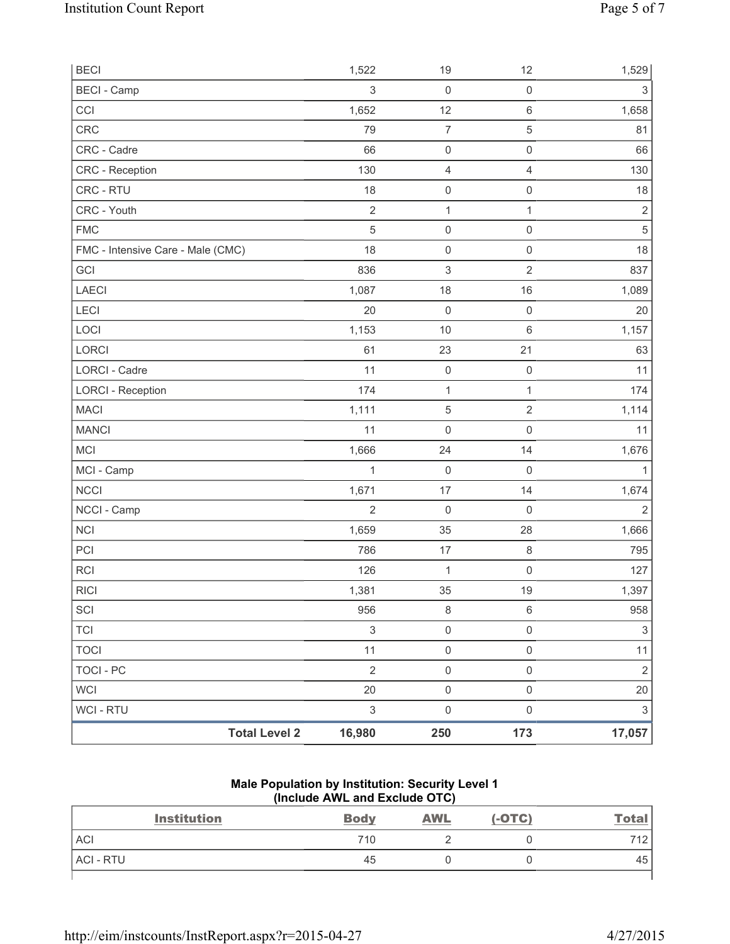| <b>Total Level 2</b>              | 16,980         | 250                       | 173                 | 17,057                    |
|-----------------------------------|----------------|---------------------------|---------------------|---------------------------|
| <b>WCI - RTU</b>                  | $\mathfrak{S}$ | $\mathsf{O}\xspace$       | $\mathsf{O}\xspace$ | $\sqrt{3}$                |
| <b>WCI</b>                        | 20             | $\mathsf{O}\xspace$       | $\mathsf{O}\xspace$ | 20                        |
| <b>TOCI - PC</b>                  | $\overline{2}$ | $\mathsf 0$               | $\mathsf{O}\xspace$ | $\sqrt{2}$                |
| <b>TOCI</b>                       | 11             | $\mathsf{O}\xspace$       | $\mathsf{O}\xspace$ | 11                        |
| <b>TCI</b>                        | $\mathfrak{S}$ | $\mathsf{O}\xspace$       | $\mathsf{O}\xspace$ | $\ensuremath{\mathsf{3}}$ |
| SCI                               | 956            | $\,8\,$                   | $\,6\,$             | 958                       |
| <b>RICI</b>                       | 1,381          | 35                        | 19                  | 1,397                     |
| RCI                               | 126            | $\mathbf{1}$              | $\mathsf 0$         | 127                       |
| PCI                               | 786            | 17                        | $\,8\,$             | 795                       |
| <b>NCI</b>                        | 1,659          | 35                        | 28                  | 1,666                     |
| NCCI - Camp                       | $\overline{2}$ | 0                         | $\mathsf{O}\xspace$ | $\overline{2}$            |
| <b>NCCI</b>                       | 1,671          | 17                        | 14                  | 1,674                     |
| MCI - Camp                        | 1              | $\mathsf{O}\xspace$       | $\mathbf 0$         | 1                         |
| <b>MCI</b>                        | 1,666          | 24                        | 14                  | 1,676                     |
| <b>MANCI</b>                      | 11             | 0                         | $\mathsf 0$         | 11                        |
| <b>MACI</b>                       | 1,111          | $\sqrt{5}$                | $\sqrt{2}$          | 1,114                     |
| <b>LORCI - Reception</b>          | 174            | $\mathbf{1}$              | $\mathbf{1}$        | 174                       |
| LORCI - Cadre                     | 11             | $\mathsf 0$               | $\mathsf 0$         | 11                        |
| <b>LORCI</b>                      | 61             | 23                        | 21                  | 63                        |
| LOCI                              | 1,153          | 10                        | $\,6\,$             | 1,157                     |
| LECI                              | 20             | $\mathsf{O}\xspace$       | $\mathsf{O}\xspace$ | 20                        |
| LAECI                             | 1,087          | 18                        | 16                  | 1,089                     |
| GCI                               | 836            | $\ensuremath{\mathsf{3}}$ | $\sqrt{2}$          | 837                       |
| FMC - Intensive Care - Male (CMC) | 18             | $\mathsf{O}\xspace$       | $\mathsf 0$         | 18                        |
| <b>FMC</b>                        | $\sqrt{5}$     | 0                         | $\mathsf 0$         | $\sqrt{5}$                |
| CRC - Youth                       | $\overline{2}$ | $\mathbf{1}$              | $\mathbf{1}$        | $\overline{2}$            |
| CRC - RTU                         | 18             | $\mathsf 0$               | $\mathsf 0$         | 18                        |
| <b>CRC</b> - Reception            | 130            | 4                         | $\overline{4}$      | 130                       |
| CRC - Cadre                       | 66             | $\mathsf 0$               | $\mathsf 0$         | 66                        |
| CRC                               | 79             | $\overline{7}$            | 5                   | 81                        |
| CCI                               | 1,652          | 12                        | $\,6\,$             | 1,658                     |
| <b>BECI</b> - Camp                | $\mathsf 3$    | $\mathsf 0$               | $\mathsf 0$         | $\,$ 3 $\,$               |
| <b>BECI</b>                       | 1,522          | 19                        | 12                  | 1,529                     |

### **Male Population by Institution: Security Level 1 (Include AWL and Exclude OTC)**

| <b>Institution</b> | <b>Body</b> | <b>AWL</b> | $(-OTC)$ | <u>Total</u> |
|--------------------|-------------|------------|----------|--------------|
| <b>ACI</b>         | 710         |            |          | 712<br>∼     |
| <b>ACI - RTU</b>   | 45          |            |          | 45           |
|                    |             |            |          |              |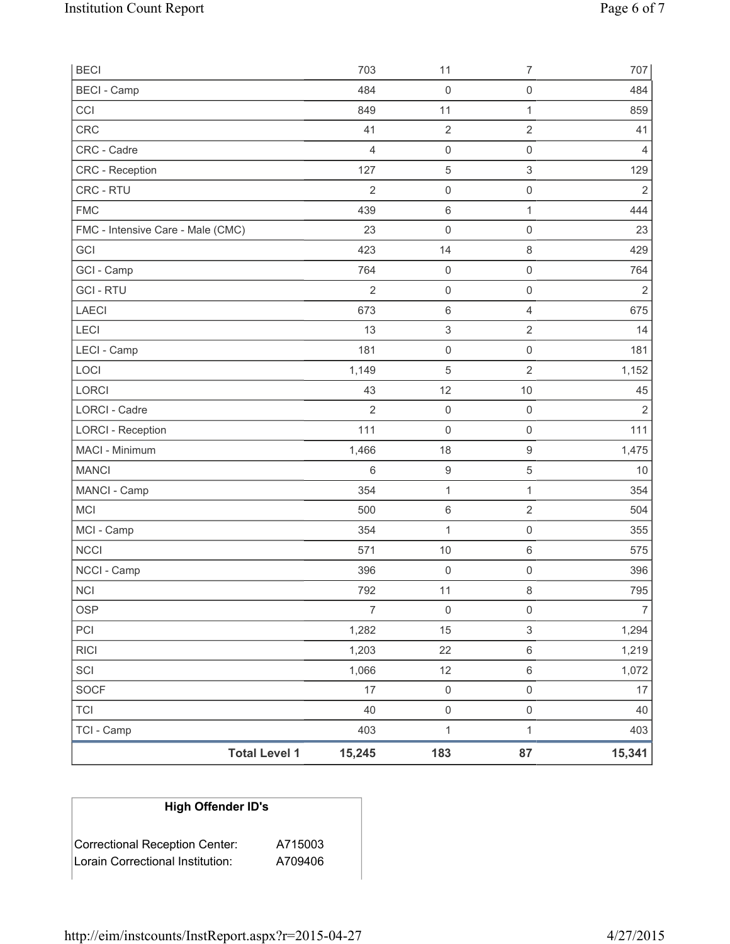| <b>BECI</b>                       |                      | 703            | 11                  | $\overline{7}$            | 707            |
|-----------------------------------|----------------------|----------------|---------------------|---------------------------|----------------|
| <b>BECI - Camp</b>                |                      | 484            | 0                   | $\mathsf 0$               | 484            |
| CCI                               |                      | 849            | 11                  | $\mathbf{1}$              | 859            |
| <b>CRC</b>                        |                      | 41             | $\sqrt{2}$          | $\sqrt{2}$                | 41             |
| CRC - Cadre                       |                      | $\overline{4}$ | $\mathsf 0$         | $\mathsf 0$               | 4              |
| CRC - Reception                   |                      | 127            | $\mathbf 5$         | $\ensuremath{\mathsf{3}}$ | 129            |
| CRC - RTU                         |                      | $\overline{2}$ | $\mathsf 0$         | $\mathsf 0$               | $\overline{2}$ |
| <b>FMC</b>                        |                      | 439            | 6                   | $\mathbf{1}$              | 444            |
| FMC - Intensive Care - Male (CMC) |                      | 23             | $\mathsf{O}\xspace$ | $\mathsf 0$               | 23             |
| GCI                               |                      | 423            | 14                  | $\,8\,$                   | 429            |
| GCI - Camp                        |                      | 764            | $\mathsf 0$         | $\mathsf{O}\xspace$       | 764            |
| <b>GCI-RTU</b>                    |                      | $\overline{2}$ | $\mathsf{O}\xspace$ | $\mathsf 0$               | $\overline{2}$ |
| <b>LAECI</b>                      |                      | 673            | 6                   | $\overline{4}$            | 675            |
| LECI                              |                      | 13             | 3                   | $\overline{2}$            | 14             |
| LECI - Camp                       |                      | 181            | $\mathsf{O}\xspace$ | $\mathbf 0$               | 181            |
| LOCI                              |                      | 1,149          | 5                   | $\overline{2}$            | 1,152          |
| LORCI                             |                      | 43             | 12                  | $10$                      | 45             |
| <b>LORCI - Cadre</b>              |                      | $\overline{2}$ | $\mathsf 0$         | $\mathsf 0$               | $\overline{2}$ |
| <b>LORCI - Reception</b>          |                      | 111            | $\mathsf{O}\xspace$ | $\mathsf 0$               | 111            |
| MACI - Minimum                    |                      | 1,466          | 18                  | $\boldsymbol{9}$          | 1,475          |
| <b>MANCI</b>                      |                      | $6\,$          | $\boldsymbol{9}$    | 5                         | 10             |
| MANCI - Camp                      |                      | 354            | $\mathbf{1}$        | $\mathbf{1}$              | 354            |
| <b>MCI</b>                        |                      | 500            | 6                   | $\overline{2}$            | 504            |
| MCI - Camp                        |                      | 354            | $\mathbf 1$         | $\mathsf{O}\xspace$       | 355            |
| <b>NCCI</b>                       |                      | 571            | 10                  | $\,6\,$                   | 575            |
| NCCI - Camp                       |                      | 396            | 0                   | $\mathsf 0$               | 396            |
| <b>NCI</b>                        |                      | 792            | 11                  | $\,8\,$                   | 795            |
| <b>OSP</b>                        |                      | $\overline{7}$ | $\mathsf 0$         | $\mathsf 0$               | $\overline{7}$ |
| PCI                               |                      | 1,282          | 15                  | $\,$ 3 $\,$               | 1,294          |
| <b>RICI</b>                       |                      | 1,203          | 22                  | $\,6\,$                   | 1,219          |
| SCI                               |                      | 1,066          | 12                  | $\,6\,$                   | 1,072          |
| SOCF                              |                      | 17             | $\mathsf{O}\xspace$ | $\mathsf 0$               | 17             |
| <b>TCI</b>                        |                      | 40             | $\mathsf{O}\xspace$ | $\mathsf{O}\xspace$       | 40             |
| TCI - Camp                        |                      | 403            | $\mathbf 1$         | 1                         | 403            |
|                                   | <b>Total Level 1</b> | 15,245         | 183                 | 87                        | 15,341         |

# **High Offender ID's**

| <b>Correctional Reception Center:</b> | A715003 |
|---------------------------------------|---------|
| Lorain Correctional Institution:      | A709406 |